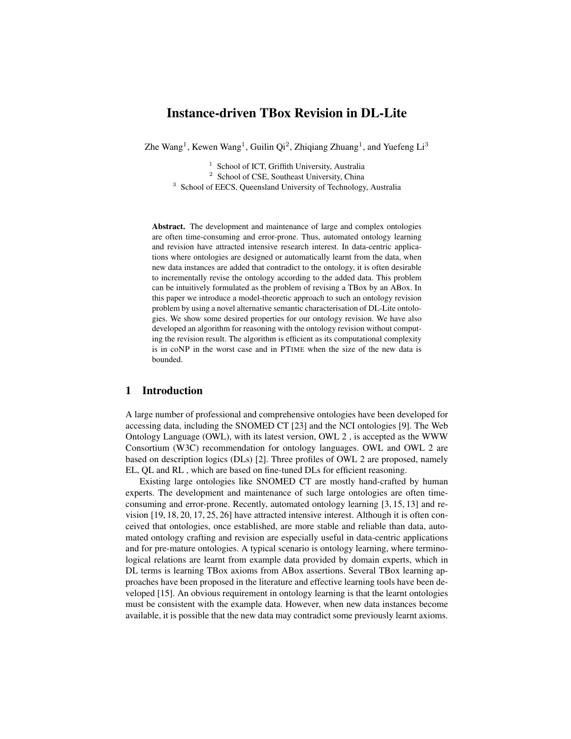# Instance-driven TBox Revision in DL-Lite

Zhe Wang<sup>1</sup>, Kewen Wang<sup>1</sup>, Guilin Qi<sup>2</sup>, Zhiqiang Zhuang<sup>1</sup>, and Yuefeng Li<sup>3</sup>

<sup>1</sup> School of ICT, Griffith University, Australia

<sup>2</sup> School of CSE, Southeast University, China

<sup>3</sup> School of EECS, Queensland University of Technology, Australia

Abstract. The development and maintenance of large and complex ontologies are often time-consuming and error-prone. Thus, automated ontology learning and revision have attracted intensive research interest. In data-centric applications where ontologies are designed or automatically learnt from the data, when new data instances are added that contradict to the ontology, it is often desirable to incrementally revise the ontology according to the added data. This problem can be intuitively formulated as the problem of revising a TBox by an ABox. In this paper we introduce a model-theoretic approach to such an ontology revision problem by using a novel alternative semantic characterisation of DL-Lite ontologies. We show some desired properties for our ontology revision. We have also developed an algorithm for reasoning with the ontology revision without computing the revision result. The algorithm is efficient as its computational complexity is in coNP in the worst case and in PTIME when the size of the new data is bounded.

## 1 Introduction

A large number of professional and comprehensive ontologies have been developed for accessing data, including the SNOMED CT [23] and the NCI ontologies [9]. The Web Ontology Language (OWL), with its latest version, OWL 2 , is accepted as the WWW Consortium (W3C) recommendation for ontology languages. OWL and OWL 2 are based on description logics (DLs) [2]. Three profiles of OWL 2 are proposed, namely EL, QL and RL , which are based on fine-tuned DLs for efficient reasoning.

Existing large ontologies like SNOMED CT are mostly hand-crafted by human experts. The development and maintenance of such large ontologies are often timeconsuming and error-prone. Recently, automated ontology learning [3, 15, 13] and revision [19, 18, 20, 17, 25, 26] have attracted intensive interest. Although it is often conceived that ontologies, once established, are more stable and reliable than data, automated ontology crafting and revision are especially useful in data-centric applications and for pre-mature ontologies. A typical scenario is ontology learning, where terminological relations are learnt from example data provided by domain experts, which in DL terms is learning TBox axioms from ABox assertions. Several TBox learning approaches have been proposed in the literature and effective learning tools have been developed [15]. An obvious requirement in ontology learning is that the learnt ontologies must be consistent with the example data. However, when new data instances become available, it is possible that the new data may contradict some previously learnt axioms.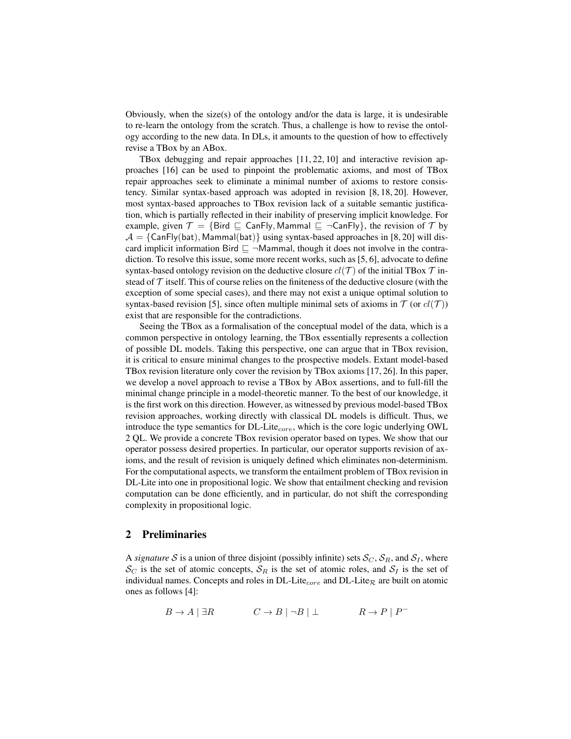Obviously, when the size(s) of the ontology and/or the data is large, it is undesirable to re-learn the ontology from the scratch. Thus, a challenge is how to revise the ontology according to the new data. In DLs, it amounts to the question of how to effectively revise a TBox by an ABox.

TBox debugging and repair approaches [11, 22, 10] and interactive revision approaches [16] can be used to pinpoint the problematic axioms, and most of TBox repair approaches seek to eliminate a minimal number of axioms to restore consistency. Similar syntax-based approach was adopted in revision [8, 18, 20]. However, most syntax-based approaches to TBox revision lack of a suitable semantic justification, which is partially reflected in their inability of preserving implicit knowledge. For example, given  $\mathcal{T} = \{ \text{Bird } \sqsubseteq \text{ CanFly}, \text{Mammal } \sqsubseteq \neg \text{ CanFly} \}$ , the revision of  $\mathcal{T}$  by  $A = \{CanFly(bat), Mammal(bat)\}\$ using syntax-based approaches in [8, 20] will discard implicit information Bird  $\Box$   $\neg$ Mammal, though it does not involve in the contradiction. To resolve this issue, some more recent works, such as [5, 6], advocate to define syntax-based ontology revision on the deductive closure  $cl(\mathcal{T})$  of the initial TBox  $\mathcal T$  instead of  $\mathcal T$  itself. This of course relies on the finiteness of the deductive closure (with the exception of some special cases), and there may not exist a unique optimal solution to syntax-based revision [5], since often multiple minimal sets of axioms in  $\mathcal T$  (or  $cl(\mathcal T)$ ) exist that are responsible for the contradictions.

Seeing the TBox as a formalisation of the conceptual model of the data, which is a common perspective in ontology learning, the TBox essentially represents a collection of possible DL models. Taking this perspective, one can argue that in TBox revision, it is critical to ensure minimal changes to the prospective models. Extant model-based TBox revision literature only cover the revision by TBox axioms [17, 26]. In this paper, we develop a novel approach to revise a TBox by ABox assertions, and to full-fill the minimal change principle in a model-theoretic manner. To the best of our knowledge, it is the first work on this direction. However, as witnessed by previous model-based TBox revision approaches, working directly with classical DL models is difficult. Thus, we introduce the type semantics for  $DL$ -Lite<sub>core</sub>, which is the core logic underlying OWL 2 QL. We provide a concrete TBox revision operator based on types. We show that our operator possess desired properties. In particular, our operator supports revision of axioms, and the result of revision is uniquely defined which eliminates non-determinism. For the computational aspects, we transform the entailment problem of TBox revision in DL-Lite into one in propositional logic. We show that entailment checking and revision computation can be done efficiently, and in particular, do not shift the corresponding complexity in propositional logic.

# 2 Preliminaries

A *signature* S is a union of three disjoint (possibly infinite) sets  $S_C$ ,  $S_R$ , and  $S_I$ , where  $\mathcal{S}_C$  is the set of atomic concepts,  $\mathcal{S}_R$  is the set of atomic roles, and  $\mathcal{S}_I$  is the set of individual names. Concepts and roles in DL-Lite<sub>core</sub> and DL-Lite<sub> $\mathcal{R}$ </sub> are built on atomic ones as follows [4]:

$$
B \to A \mid \exists R \qquad \qquad C \to B \mid \neg B \mid \bot \qquad \qquad R \to P \mid P^-
$$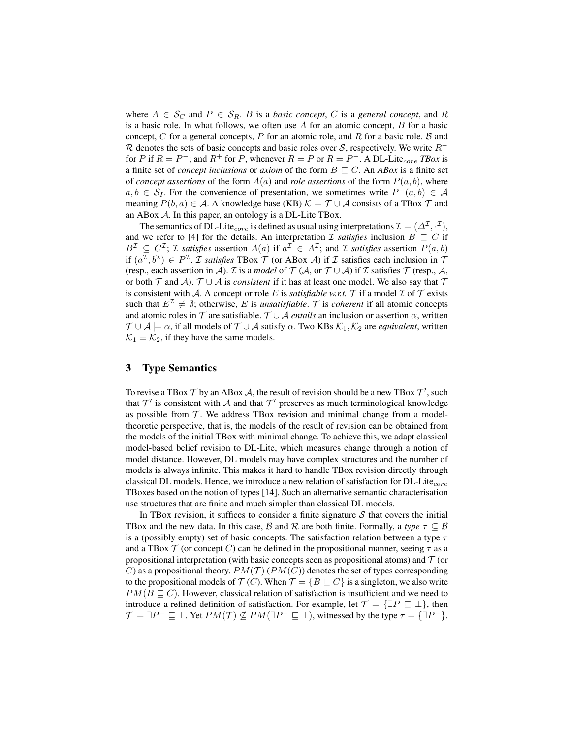where  $A \in \mathcal{S}_C$  and  $P \in \mathcal{S}_R$ . B is a *basic concept*, C is a *general concept*, and R is a basic role. In what follows, we often use  $A$  for an atomic concept,  $B$  for a basic concept, C for a general concepts, P for an atomic role, and R for a basic role. B and R denotes the sets of basic concepts and basic roles over S, respectively. We write  $R^$ for P if  $R = P^-$ ; and  $R^+$  for P, whenever  $R = P$  or  $R = P^-$ . A DL-Lite<sub>core</sub> TBox is a finite set of *concept inclusions* or *axiom* of the form  $B \sqsubseteq C$ . An *ABox* is a finite set of *concept assertions* of the form  $A(a)$  and *role assertions* of the form  $P(a, b)$ , where  $a, b \in S_I$ . For the convenience of presentation, we sometimes write  $P^-(a, b) \in A$ meaning  $P(b, a) \in \mathcal{A}$ . A knowledge base (KB)  $\mathcal{K} = \mathcal{T} \cup \mathcal{A}$  consists of a TBox  $\mathcal{T}$  and an ABox A. In this paper, an ontology is a DL-Lite TBox.

The semantics of DL-Lite<sub>core</sub> is defined as usual using interpretations  $\mathcal{I} = (\Delta^\mathcal{I}, \cdot^\mathcal{I}),$ and we refer to [4] for the details. An interpretation  $\mathcal I$  *satisfies* inclusion  $B \subseteq C$  if  $B^{\mathcal{I}} \subseteq C^{\mathcal{I}}$ ; *T* satisfies assertion  $A(a)$  if  $a^{\mathcal{I}} \in A^{\mathcal{I}}$ ; and *T* satisfies assertion  $P(a, b)$ if  $(a^{\mathcal{I}}, b^{\mathcal{I}}) \in P^{\mathcal{I}}$ . *I satisfies* TBox  $\mathcal{T}$  (or ABox  $\mathcal{A}$ ) if  $\mathcal{I}$  satisfies each inclusion in  $\mathcal{T}$ (resp., each assertion in A). *I* is a *model* of  $T(A)$ , or  $T \cup A$ ) if *I* satisfies  $T$  (resp., A, or both  $T$  and A).  $T \cup A$  is *consistent* if it has at least one model. We also say that  $T$ is consistent with A. A concept or role E is *satisfiable w.r.t.* T if a model  $\mathcal I$  of  $\mathcal T$  exists such that  $E^{\mathcal{I}} \neq \emptyset$ ; otherwise, E is *unsatisfiable*. T is *coherent* if all atomic concepts and atomic roles in T are satisfiable.  $T \cup A$  *entails* an inclusion or assertion  $\alpha$ , written  $\mathcal{T} \cup \mathcal{A} \models \alpha$ , if all models of  $\mathcal{T} \cup \mathcal{A}$  satisfy  $\alpha$ . Two KBs  $\mathcal{K}_1, \mathcal{K}_2$  are *equivalent*, written  $\mathcal{K}_1 \equiv \mathcal{K}_2$ , if they have the same models.

# 3 Type Semantics

To revise a TBox  $\mathcal T$  by an ABox  $\mathcal A$ , the result of revision should be a new TBox  $\mathcal T'$ , such that  $\mathcal{T}'$  is consistent with  $\mathcal A$  and that  $\mathcal{T}'$  preserves as much terminological knowledge as possible from  $T$ . We address TBox revision and minimal change from a modeltheoretic perspective, that is, the models of the result of revision can be obtained from the models of the initial TBox with minimal change. To achieve this, we adapt classical model-based belief revision to DL-Lite, which measures change through a notion of model distance. However, DL models may have complex structures and the number of models is always infinite. This makes it hard to handle TBox revision directly through classical DL models. Hence, we introduce a new relation of satisfaction for DL-Lite $_{core}$ TBoxes based on the notion of types [14]. Such an alternative semantic characterisation use structures that are finite and much simpler than classical DL models.

In TBox revision, it suffices to consider a finite signature  $S$  that covers the initial TBox and the new data. In this case, B and R are both finite. Formally, a *type*  $\tau \subseteq B$ is a (possibly empty) set of basic concepts. The satisfaction relation between a type  $\tau$ and a TBox  $\mathcal T$  (or concept C) can be defined in the propositional manner, seeing  $\tau$  as a propositional interpretation (with basic concepts seen as propositional atoms) and  $\mathcal T$  (or C) as a propositional theory.  $PM(\mathcal{T}) (PM(C))$  denotes the set of types corresponding to the propositional models of  $\mathcal{T}(C)$ . When  $\mathcal{T} = \{B \sqsubseteq C\}$  is a singleton, we also write  $PM(B \sqsubset C)$ . However, classical relation of satisfaction is insufficient and we need to introduce a refined definition of satisfaction. For example, let  $\mathcal{T} = {\exists P \subseteq \bot}$ , then  $\mathcal{T} \models \exists P^- \sqsubseteq \bot$ . Yet  $PM(\mathcal{T}) \not\subseteq PM(\exists P^- \sqsubseteq \bot)$ , witnessed by the type  $\tau = {\exists P^-}$ .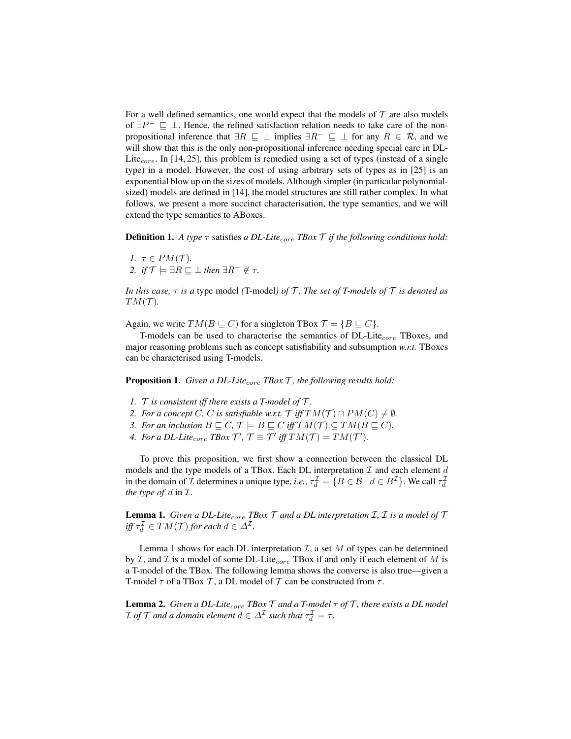For a well defined semantics, one would expect that the models of  $\mathcal T$  are also models of  $\exists P^- \sqsubseteq \bot$ . Hence, the refined satisfaction relation needs to take care of the nonpropositional inference that  $\exists R \sqsubseteq \bot$  implies  $\exists R^{-} \sqsubseteq \bot$  for any  $R \in \mathcal{R}$ , and we will show that this is the only non-propositional inference needing special care in DL-Lite<sub>core</sub>. In [14, 25], this problem is remedied using a set of types (instead of a single type) in a model. However, the cost of using arbitrary sets of types as in [25] is an exponential blow up on the sizes of models. Although simpler (in particular polynomialsized) models are defined in [14], the model structures are still rather complex. In what follows, we present a more succinct characterisation, the type semantics, and we will extend the type semantics to ABoxes.

**Definition 1.** A type  $\tau$  satisfies a DL-Lite<sub>core</sub> **TBox**  $\mathcal T$  if the following conditions hold:

*1.*  $\tau \in PM(\mathcal{T})$ *. 2. if*  $\mathcal{T} \models \exists R \sqsubseteq \bot$  *then*  $\exists R^{-} \notin \tau$ *.* 

*In this case,* τ *is a* type model *(*T-model*) of* T *. The set of T-models of* T *is denoted as*  $TM(\mathcal{T})$ .

Again, we write  $TM(B \sqsubseteq C)$  for a singleton TBox  $\mathcal{T} = \{B \sqsubseteq C\}$ .

T-models can be used to characterise the semantics of  $DL\text{-}Lie_{core}$  TBoxes, and major reasoning problems such as concept satisfiability and subsumption *w.r.t.* TBoxes can be characterised using T-models.

**Proposition 1.** *Given a DL-Lite<sub>core</sub> TBox T*, *the following results hold:* 

- *1.* T *is consistent iff there exists a T-model of* T *.*
- *2. For a concept* C, C *is satisfiable w.r.t.*  $\mathcal{T}$  *iff*  $TM(\mathcal{T}) \cap PM(C) \neq \emptyset$ *.*
- *3. For an inclusion*  $B \sqsubseteq C$ ,  $\mathcal{T} \models B \sqsubseteq C$  *iff*  $TM(\mathcal{T}) \subseteq TM(B \sqsubseteq C)$ *.*
- *4. For a DL-Lite<sub>core</sub> TBox*  $\mathcal{T}', \mathcal{T} \equiv \mathcal{T}'$  *iff*  $TM(\mathcal{T}) = TM(\mathcal{T}')$ *.*

To prove this proposition, we first show a connection between the classical DL models and the type models of a TBox. Each DL interpretation  $\mathcal I$  and each element  $d$ in the domain of *I* determines a unique type, *i.e.*,  $\tau_d^{\mathcal{I}} = \{B \in \mathcal{B} \mid d \in B^{\mathcal{I}}\}$ . We call  $\tau_d^{\mathcal{I}}$ *the type of* d in I.

**Lemma 1.** *Given a DL-Lite<sub>core</sub> TBox*  $\mathcal T$  *and a DL interpretation*  $\mathcal I$ *,*  $\mathcal I$  *is a model of*  $\mathcal T$  $\text{iff } \tau_d^{\mathcal{I}} \in TM(\mathcal{T}) \text{ for each } d \in \Delta^{\mathcal{I}}.$ 

Lemma 1 shows for each DL interpretation  $I$ , a set  $M$  of types can be determined by  $I$ , and  $I$  is a model of some DL-Lite<sub>core</sub> TBox if and only if each element of M is a T-model of the TBox. The following lemma shows the converse is also true—given a T-model  $\tau$  of a TBox  $\mathcal{T}$ , a DL model of  $\mathcal{T}$  can be constructed from  $\tau$ .

Lemma 2. *Given a DL-Lite*core *TBox* T *and a T-model* τ *of* T *, there exists a DL model*  $\mathcal I$  *of*  $\mathcal T$  *and a domain element*  $d \in \Delta^{\mathcal I}$  *such that*  $\tau_d^{\mathcal I} = \tau$ *.*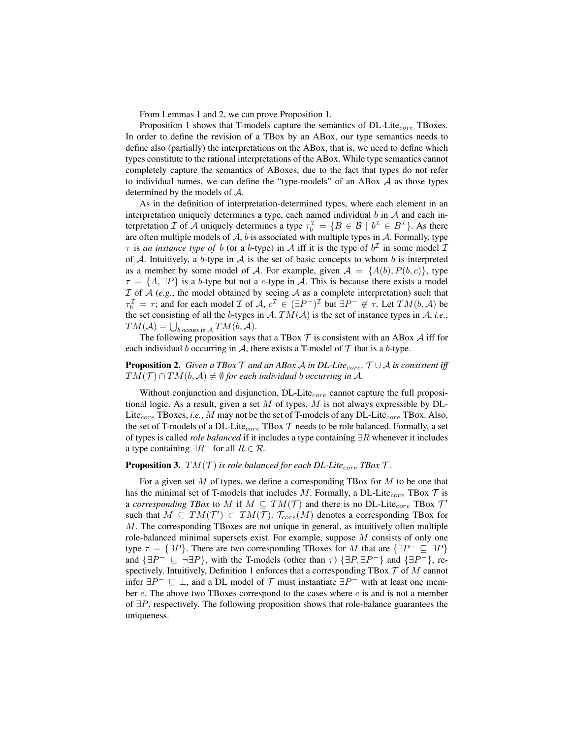From Lemmas 1 and 2, we can prove Proposition 1.

Proposition 1 shows that T-models capture the semantics of  $DL\text{-}Life_{core}$  TBoxes. In order to define the revision of a TBox by an ABox, our type semantics needs to define also (partially) the interpretations on the ABox, that is, we need to define which types constitute to the rational interpretations of the ABox. While type semantics cannot completely capture the semantics of ABoxes, due to the fact that types do not refer to individual names, we can define the "type-models" of an ABox  $A$  as those types determined by the models of A.

As in the definition of interpretation-determined types, where each element in an interpretation uniquely determines a type, each named individual  $b$  in  $A$  and each interpretation *I* of *A* uniquely determines a type  $\tau_b^{\mathcal{I}} = \{B \in \mathcal{B} \mid b^{\mathcal{I}} \in B^{\mathcal{I}}\}$ . As there are often multiple models of  $A$ ,  $b$  is associated with multiple types in  $A$ . Formally, type  $\tau$  is *an instance type of* b (or a b-type) in A iff it is the type of  $b^{\mathcal{I}}$  in some model  $\mathcal{I}$ of A. Intuitively, a b-type in A is the set of basic concepts to whom b is interpreted as a member by some model of A. For example, given  $A = \{A(b), P(b, c)\}\$ , type  $\tau = \{A, \exists P\}$  is a b-type but not a c-type in A. This is because there exists a model  $I$  of  $A$  (e.g., the model obtained by seeing  $A$  as a complete interpretation) such that  $\tau_b^{\mathcal{I}} = \tau$ ; and for each model  $\mathcal{I}$  of  $\mathcal{A}, c^{\mathcal{I}} \in (\exists P^-)^{\mathcal{I}}$  but  $\exists P^- \notin \tau$ . Let  $TM(b, \mathcal{A})$  be the set consisting of all the b-types in  $A$ .  $TM(A)$  is the set of instance types in  $A$ , *i.e.*,  $TM(\mathcal{A}) = \bigcup_{b \text{ occurs in } \mathcal{A}} TM(b, \mathcal{A}).$ 

The following proposition says that a TBox  $\mathcal T$  is consistent with an ABox  $\mathcal A$  iff for each individual b occurring in A, there exists a T-model of  $\mathcal T$  that is a b-type.

### **Proposition 2.** *Given a TBox*  $\mathcal T$  *and an ABox A in DL-Lite<sub>core</sub>,*  $\mathcal T \cup \mathcal A$  *is consistent iff*  $TM(\mathcal{T}) \cap TM(b, \mathcal{A}) \neq \emptyset$  *for each individual b occurring in* A.

Without conjunction and disjunction,  $DL$ -Lite $_{core}$  cannot capture the full propositional logic. As a result, given a set  $M$  of types,  $M$  is not always expressible by DL-Lite<sub>core</sub> TBoxes, *i.e.*, M may not be the set of T-models of any DL-Lite<sub>core</sub> TBox. Also, the set of T-models of a DL-Lite<sub>core</sub> TBox  $T$  needs to be role balanced. Formally, a set of types is called *role balanced* if it includes a type containing ∃R whenever it includes a type containing  $\exists R^{-}$  for all  $R \in \mathcal{R}$ .

#### **Proposition 3.**  $TM(\mathcal{T})$  *is role balanced for each DL-Lite<sub>core</sub> TBox*  $\mathcal{T}$ *.*

For a given set  $M$  of types, we define a corresponding TBox for  $M$  to be one that has the minimal set of T-models that includes M. Formally, a DL-Lite<sub>core</sub> TBox  $\mathcal T$  is a *corresponding TBox* to M if  $M \subseteq TM(\mathcal{T})$  and there is no DL-Lite<sub>core</sub> TBox  $\mathcal{T}'$ such that  $M \subseteq TM(\mathcal{T}') \subset TM(\mathcal{T})$ .  $\mathcal{T}_{core}(M)$  denotes a corresponding TBox for M. The corresponding TBoxes are not unique in general, as intuitively often multiple role-balanced minimal supersets exist. For example, suppose M consists of only one type  $\tau = {\exists P}$ . There are two corresponding TBoxes for M that are  ${\exists P^- \sqsubseteq \exists P}$ and  $\{\exists P^-\sqsubseteq \neg \exists P\}$ , with the T-models (other than  $\tau$ )  $\{\exists P, \exists P^-\}$  and  $\{\exists P^-\}$ , respectively. Intuitively, Definition 1 enforces that a corresponding TBox  $T$  of  $M$  cannot infer  $\exists P^- \sqsubseteq \bot$ , and a DL model of  $\mathcal T$  must instantiate  $\exists P^-$  with at least one member  $e$ . The above two TBoxes correspond to the cases where  $e$  is and is not a member of ∃P, respectively. The following proposition shows that role-balance guarantees the uniqueness.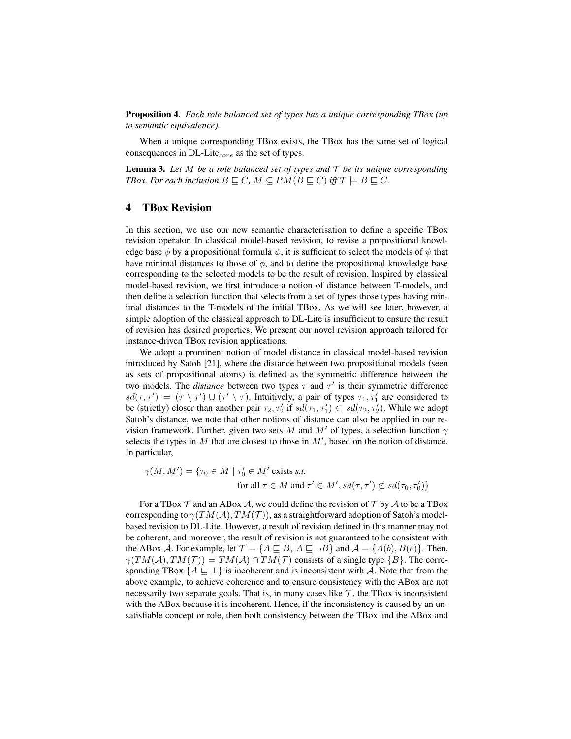Proposition 4. *Each role balanced set of types has a unique corresponding TBox (up to semantic equivalence).*

When a unique corresponding TBox exists, the TBox has the same set of logical consequences in DL-Lite $_{core}$  as the set of types.

**Lemma 3.** Let M be a role balanced set of types and  $\mathcal T$  be its unique corresponding *TBox. For each inclusion*  $B \sqsubseteq C$ *,*  $M \subseteq PM(B \sqsubseteq C)$  *iff*  $\mathcal{T} \models B \sqsubseteq C$ *.* 

# 4 TBox Revision

In this section, we use our new semantic characterisation to define a specific TBox revision operator. In classical model-based revision, to revise a propositional knowledge base  $\phi$  by a propositional formula  $\psi$ , it is sufficient to select the models of  $\psi$  that have minimal distances to those of  $\phi$ , and to define the propositional knowledge base corresponding to the selected models to be the result of revision. Inspired by classical model-based revision, we first introduce a notion of distance between T-models, and then define a selection function that selects from a set of types those types having minimal distances to the T-models of the initial TBox. As we will see later, however, a simple adoption of the classical approach to DL-Lite is insufficient to ensure the result of revision has desired properties. We present our novel revision approach tailored for instance-driven TBox revision applications.

We adopt a prominent notion of model distance in classical model-based revision introduced by Satoh [21], where the distance between two propositional models (seen as sets of propositional atoms) is defined as the symmetric difference between the two models. The *distance* between two types  $\tau$  and  $\tau'$  is their symmetric difference  $sd(\tau, \tau') = (\tau \setminus \tau') \cup (\tau' \setminus \tau)$ . Intuitively, a pair of types  $\tau_1, \tau_1'$  are considered to be (strictly) closer than another pair  $\tau_2, \tau_2'$  if  $sd(\tau_1, \tau_1') \subset sd(\tau_2, \tau_2')$ . While we adopt Satoh's distance, we note that other notions of distance can also be applied in our revision framework. Further, given two sets M and M' of types, a selection function  $\gamma$ selects the types in  $M$  that are closest to those in  $M'$ , based on the notion of distance. In particular,

 $\gamma(M, M') = \{ \tau_0 \in M \mid \tau_0' \in M' \text{ exists } s.t. \}$ for all  $\tau \in M$  and  $\tau' \in M', sd(\tau, \tau') \not\subset sd(\tau_0, \tau'_0)$ 

For a TBox  $\mathcal T$  and an ABox  $\mathcal A$ , we could define the revision of  $\mathcal T$  by  $\mathcal A$  to be a TBox corresponding to  $\gamma(TM(\mathcal{A}), TM(\mathcal{T}))$ , as a straightforward adoption of Satoh's modelbased revision to DL-Lite. However, a result of revision defined in this manner may not be coherent, and moreover, the result of revision is not guaranteed to be consistent with the ABox A. For example, let  $\mathcal{T} = \{A \sqsubseteq B, A \sqsubseteq \neg B\}$  and  $\mathcal{A} = \{A(b), B(c)\}\$ . Then,  $\gamma(TM(A), TM(\mathcal{T})) = TM(A) \cap TM(\mathcal{T})$  consists of a single type  $\{B\}$ . The corresponding TBox  $\{A \sqsubset \bot\}$  is incoherent and is inconsistent with A. Note that from the above example, to achieve coherence and to ensure consistency with the ABox are not necessarily two separate goals. That is, in many cases like  $\mathcal{T}$ , the TBox is inconsistent with the ABox because it is incoherent. Hence, if the inconsistency is caused by an unsatisfiable concept or role, then both consistency between the TBox and the ABox and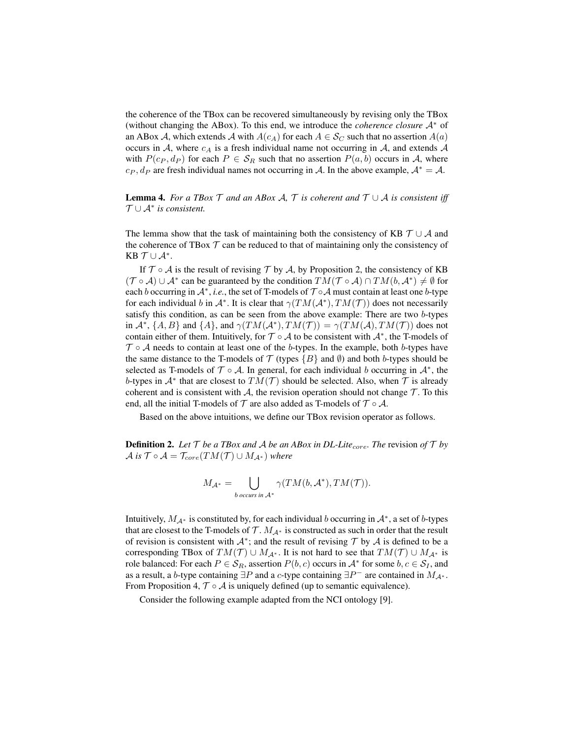the coherence of the TBox can be recovered simultaneously by revising only the TBox (without changing the ABox). To this end, we introduce the *coherence closure* A<sup>∗</sup> of an ABox A, which extends A with  $A(c_A)$  for each  $A \in \mathcal{S}_C$  such that no assertion  $A(a)$ occurs in A, where  $c_A$  is a fresh individual name not occurring in A, and extends A with  $P(c_P, d_P)$  for each  $P \in S_R$  such that no assertion  $P(a, b)$  occurs in A, where  $c_P$ ,  $d_P$  are fresh individual names not occurring in A. In the above example,  $A^* = A$ .

**Lemma 4.** *For a TBox*  $\mathcal T$  *and an ABox A,*  $\mathcal T$  *is coherent and*  $\mathcal T \cup \mathcal A$  *is consistent iff* T ∪ A<sup>∗</sup> *is consistent.*

The lemma show that the task of maintaining both the consistency of KB  $\mathcal{T} \cup \mathcal{A}$  and the coherence of TBox  $T$  can be reduced to that of maintaining only the consistency of KB  $T \cup A^*$ .

If  $\mathcal{T} \circ \mathcal{A}$  is the result of revising  $\mathcal{T}$  by  $\mathcal{A}$ , by Proposition 2, the consistency of KB  $(\mathcal{T} \circ \mathcal{A}) \cup \mathcal{A}^*$  can be guaranteed by the condition  $TM(\mathcal{T} \circ \mathcal{A}) \cap TM(b, \mathcal{A}^*) \neq \emptyset$  for each b occurring in  $\mathcal{A}^*$ , *i.e.*, the set of T-models of  $\mathcal{T} \circ \mathcal{A}$  must contain at least one b-type for each individual b in  $\mathcal{A}^*$ . It is clear that  $\gamma(TM(\mathcal{A}^*), TM(\mathcal{T}))$  does not necessarily satisfy this condition, as can be seen from the above example: There are two b-types in  $\mathcal{A}^*, \{A, B\}$  and  $\{A\}$ , and  $\gamma(TM(\mathcal{A}^*), TM(\mathcal{T})) = \gamma(TM(\mathcal{A}), TM(\mathcal{T}))$  does not contain either of them. Intuitively, for  $\mathcal{T} \circ \mathcal{A}$  to be consistent with  $\mathcal{A}^*$ , the T-models of  $\mathcal{T} \circ \mathcal{A}$  needs to contain at least one of the b-types. In the example, both b-types have the same distance to the T-models of  $\mathcal T$  (types  $\{B\}$  and  $\emptyset$ ) and both b-types should be selected as T-models of  $\mathcal{T} \circ \mathcal{A}$ . In general, for each individual b occurring in  $\mathcal{A}^*$ , the b-types in  $A^*$  that are closest to  $TM(\mathcal{T})$  should be selected. Also, when  $\mathcal T$  is already coherent and is consistent with  $A$ , the revision operation should not change  $T$ . To this end, all the initial T-models of  $\mathcal T$  are also added as T-models of  $\mathcal T \circ \mathcal A$ .

Based on the above intuitions, we define our TBox revision operator as follows.

**Definition 2.** Let  $\mathcal{T}$  be a TBox and A be an ABox in DL-Lite<sub>core</sub>. The revision of  $\mathcal{T}$  by  $\mathcal{A}$  *is*  $\mathcal{T} \circ \mathcal{A} = \mathcal{T}_{core}(TM(\mathcal{T}) \cup M_{\mathcal{A}^*})$  *where* 

$$
M_{\mathcal{A}^*} = \bigcup_{b \text{ occurs in } \mathcal{A}^*} \gamma(TM(b, \mathcal{A}^*), TM(\mathcal{T})).
$$

Intuitively,  $M_{A^*}$  is constituted by, for each individual b occurring in  $A^*$ , a set of b-types that are closest to the T-models of  $\mathcal{T}$ .  $M_{\mathcal{A}^*}$  is constructed as such in order that the result of revision is consistent with  $\mathcal{A}^*$ ; and the result of revising  $\mathcal{T}$  by  $\mathcal{A}$  is defined to be a corresponding TBox of  $TM(\mathcal{T}) \cup M_{\mathcal{A}^*}$ . It is not hard to see that  $TM(\mathcal{T}) \cup M_{\mathcal{A}^*}$  is role balanced: For each  $P \in S_R$ , assertion  $P(b, c)$  occurs in  $\mathcal{A}^*$  for some  $b, c \in \mathcal{S}_I$ , and as a result, a b-type containing  $\exists P$  and a c-type containing  $\exists P^-$  are contained in  $M_{\mathcal{A}^*}$ . From Proposition 4,  $\mathcal{T} \circ \mathcal{A}$  is uniquely defined (up to semantic equivalence).

Consider the following example adapted from the NCI ontology [9].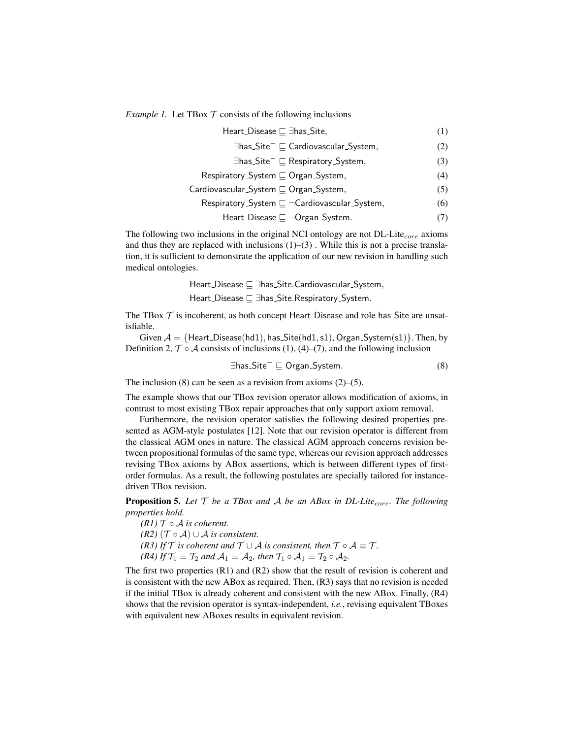*Example 1.* Let TBox  $T$  consists of the following inclusions

$$
\begin{aligned}\n\text{Heart\_Disease} &\sqsubseteq \exists \text{has\_Site}, \\
\exists \text{has\_Site}^- &\sqsubseteq \text{Cardiovascular\_System},\n\end{aligned}\n\tag{1}
$$

$$
\exists \text{has}\_\text{Site}^- \sqsubseteq \text{Respiratory}\_\text{System}, \tag{3}
$$

$$
\mathsf{Respiratory}\_\mathsf{System}\sqsubseteq\mathsf{Organ}\_\mathsf{System},\tag{4}
$$

$$
Cardiovascular\_System \sqsubseteq Organ\_System,
$$
\n(5)

$$
Respiratory\_System \sqsubseteq \neg Cardiovascular\_System, \tag{6}
$$

$$
Heart\_Disease \sqsubseteq \neg Organ\_System.
$$
 (7)

The following two inclusions in the original NCI ontology are not  $DL\text{-}Life_{core}$  axioms and thus they are replaced with inclusions  $(1)$ – $(3)$ . While this is not a precise translation, it is sufficient to demonstrate the application of our new revision in handling such medical ontologies.

> Heart Disease v ∃has Site.Cardiovascular System, Heart Disease v ∃has Site.Respiratory System.

The TBox  $\mathcal T$  is incoherent, as both concept Heart Disease and role has Site are unsatisfiable.

Given  $A = \{Heart\_Disease(hd1), has\_Site(hd1, s1), Organ\_System(s1)\}.$  Then, by Definition 2,  $\mathcal{T} \circ \mathcal{A}$  consists of inclusions (1), (4)–(7), and the following inclusion

$$
\exists \mathsf{has}\_\mathsf{Site}^- \sqsubseteq \mathsf{Organ}\_\mathsf{System}.\tag{8}
$$

The inclusion  $(8)$  can be seen as a revision from axioms  $(2)$ – $(5)$ .

The example shows that our TBox revision operator allows modification of axioms, in contrast to most existing TBox repair approaches that only support axiom removal.

Furthermore, the revision operator satisfies the following desired properties presented as AGM-style postulates [12]. Note that our revision operator is different from the classical AGM ones in nature. The classical AGM approach concerns revision between propositional formulas of the same type, whereas our revision approach addresses revising TBox axioms by ABox assertions, which is between different types of firstorder formulas. As a result, the following postulates are specially tailored for instancedriven TBox revision.

**Proposition 5.** Let  $\mathcal T$  be a TBox and  $\mathcal A$  be an ABox in DL-Lite<sub>core</sub>. The following *properties hold.*

*(R1)*  $T \circ A$  *is coherent. (R2)*  $(T ∘ A) ∪ A$  *is consistent. (R3) If*  $\mathcal T$  *is coherent and*  $\mathcal T \cup \mathcal A$  *is consistent, then*  $\mathcal T \circ \mathcal A \equiv \mathcal T$ *. (R4) If*  $\mathcal{T}_1 \equiv \mathcal{T}_2$  *and*  $\mathcal{A}_1 \equiv \mathcal{A}_2$ *, then*  $\mathcal{T}_1 \circ \mathcal{A}_1 \equiv \mathcal{T}_2 \circ \mathcal{A}_2$ *.* 

The first two properties (R1) and (R2) show that the result of revision is coherent and is consistent with the new ABox as required. Then, (R3) says that no revision is needed if the initial TBox is already coherent and consistent with the new ABox. Finally, (R4) shows that the revision operator is syntax-independent, *i.e.*, revising equivalent TBoxes with equivalent new ABoxes results in equivalent revision.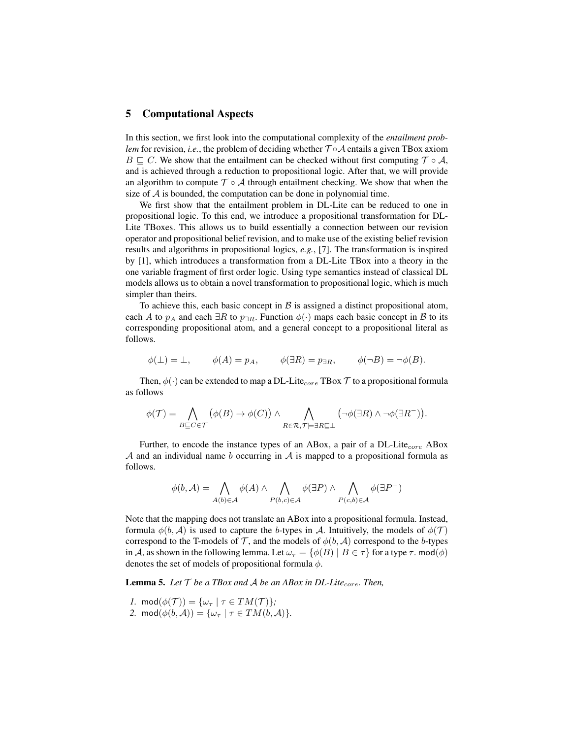### 5 Computational Aspects

In this section, we first look into the computational complexity of the *entailment problem* for revision, *i.e.*, the problem of deciding whether  $T \circ A$  entails a given TBox axiom  $B \sqsubset C$ . We show that the entailment can be checked without first computing  $\mathcal{T} \circ \mathcal{A}$ , and is achieved through a reduction to propositional logic. After that, we will provide an algorithm to compute  $\mathcal{T} \circ \mathcal{A}$  through entailment checking. We show that when the size of  $A$  is bounded, the computation can be done in polynomial time.

We first show that the entailment problem in DL-Lite can be reduced to one in propositional logic. To this end, we introduce a propositional transformation for DL-Lite TBoxes. This allows us to build essentially a connection between our revision operator and propositional belief revision, and to make use of the existing belief revision results and algorithms in propositional logics, *e.g.*, [7]. The transformation is inspired by [1], which introduces a transformation from a DL-Lite TBox into a theory in the one variable fragment of first order logic. Using type semantics instead of classical DL models allows us to obtain a novel transformation to propositional logic, which is much simpler than theirs.

To achieve this, each basic concept in  $\beta$  is assigned a distinct propositional atom, each A to  $p_A$  and each  $\exists R$  to  $p_{\exists R}$ . Function  $\phi(\cdot)$  maps each basic concept in B to its corresponding propositional atom, and a general concept to a propositional literal as follows.

$$
\phi(\perp) = \perp, \qquad \phi(A) = p_A, \qquad \phi(\exists R) = p_{\exists R}, \qquad \phi(\neg B) = \neg \phi(B).
$$

Then,  $\phi(\cdot)$  can be extended to map a DL-Lite<sub>core</sub> TBox  $\mathcal T$  to a propositional formula as follows

$$
\phi(\mathcal{T}) = \bigwedge_{B \sqsubseteq C \in \mathcal{T}} (\phi(B) \to \phi(C)) \land \bigwedge_{R \in \mathcal{R}, \mathcal{T} \models \exists R \sqsubseteq \bot} (\neg \phi(\exists R) \land \neg \phi(\exists R^{-})).
$$

Further, to encode the instance types of an ABox, a pair of a DL-Lite $_{core}$  ABox  $A$  and an individual name b occurring in  $A$  is mapped to a propositional formula as follows.

$$
\phi(b, \mathcal{A}) = \bigwedge_{A(b) \in \mathcal{A}} \phi(A) \land \bigwedge_{P(b,c) \in \mathcal{A}} \phi(\exists P) \land \bigwedge_{P(c,b) \in \mathcal{A}} \phi(\exists P^{-})
$$

Note that the mapping does not translate an ABox into a propositional formula. Instead, formula  $\phi(b, \mathcal{A})$  is used to capture the b-types in A. Intuitively, the models of  $\phi(\mathcal{T})$ correspond to the T-models of T, and the models of  $\phi(b, \mathcal{A})$  correspond to the b-types in A, as shown in the following lemma. Let  $\omega_{\tau} = \{ \phi(B) \mid B \in \tau \}$  for a type  $\tau$ . mod $(\phi)$ denotes the set of models of propositional formula  $\phi$ .

**Lemma 5.** Let  $T$  *be a TBox and*  $A$  *be an ABox in DL-Lite<sub>core</sub>. Then,* 

- *1.* mod $(\phi(\mathcal{T})) = {\omega_{\tau} | \tau \in TM(\mathcal{T}) }$ ;
- 2. mod $(\phi(b, \mathcal{A})) = {\omega_\tau \mid \tau \in TM(b, \mathcal{A})}.$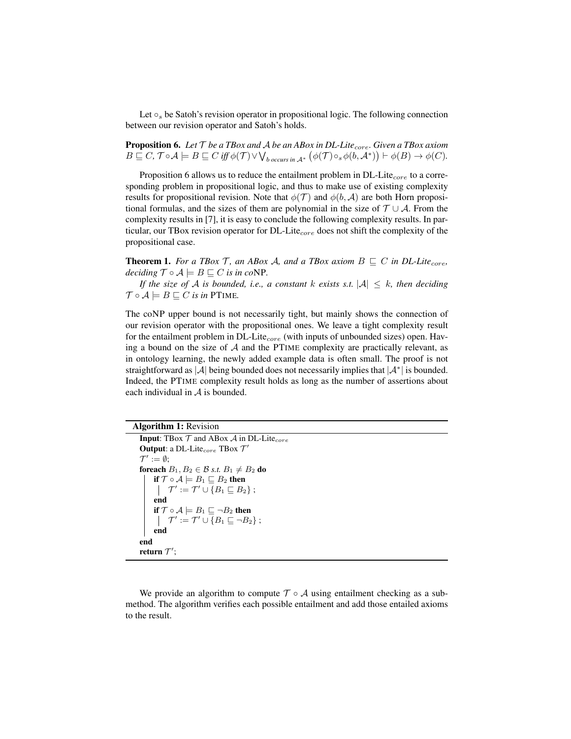Let  $\circ_s$  be Satoh's revision operator in propositional logic. The following connection between our revision operator and Satoh's holds.

**Proposition 6.** Let  $\mathcal T$  *be a TBox and A be an ABox in DL-Lite<sub>core</sub>. Given a TBox axiom*  $B \sqsubseteq C$ ,  $\mathcal{T} \circ \mathcal{A} \models B \sqsubseteq C$  *iff*  $\phi(\mathcal{T}) \vee \bigvee_{b \text{ occurs in } \mathcal{A}^*} (\phi(\mathcal{T}) \circ_s \phi(b, \mathcal{A}^*)) \vdash \phi(B) \rightarrow \phi(C).$ 

Proposition 6 allows us to reduce the entailment problem in  $DL\text{-}Life_{core}$  to a corresponding problem in propositional logic, and thus to make use of existing complexity results for propositional revision. Note that  $\phi(\mathcal{T})$  and  $\phi(b, \mathcal{A})$  are both Horn propositional formulas, and the sizes of them are polynomial in the size of  $\mathcal{T} \cup \mathcal{A}$ . From the complexity results in [7], it is easy to conclude the following complexity results. In particular, our TBox revision operator for DL-Lite<sub>core</sub> does not shift the complexity of the propositional case.

**Theorem 1.** For a TBox T, an ABox A, and a TBox axiom  $B \subseteq C$  in DL-Lite<sub>core</sub>, *deciding*  $\mathcal{T} \circ \mathcal{A} \models B \sqsubseteq C$  *is in co*NP.

*If the size of* A *is bounded, i.e., a constant* k *exists s.t.*  $|A| \leq k$ *, then deciding*  $\mathcal{T} \circ \mathcal{A} \models B \sqsubseteq C$  *is in* PTIME.

The coNP upper bound is not necessarily tight, but mainly shows the connection of our revision operator with the propositional ones. We leave a tight complexity result for the entailment problem in  $DL\text{-}Life_{core}$  (with inputs of unbounded sizes) open. Having a bound on the size of  $A$  and the PTIME complexity are practically relevant, as in ontology learning, the newly added example data is often small. The proof is not straightforward as |A| being bounded does not necessarily implies that  $|A^*|$  is bounded. Indeed, the PTIME complexity result holds as long as the number of assertions about each individual in A is bounded.

```
Algorithm 1: Revision
```

```
Input: TBox \mathcal T and ABox \mathcal A in DL-Lite<sub>core</sub>
 Output: a DL-Lite<sub>core</sub> TBox \mathcal{T}'\mathcal{T}' := \emptyset;foreach B_1, B_2 \in \mathcal{B} s.t. B_1 \neq B_2 do
       if \mathcal{T} \circ \mathcal{A} \models B_1 \sqsubseteq B_2 then
                 \mathcal{T}' := \mathcal{T}' \cup \{B_1 \sqsubseteq B_2\};
        end
       if \mathcal{T} \circ \mathcal{A} \models B_1 \sqsubseteq \neg B_2 then
                 \mathcal{T}' := \mathcal{T}' \cup \{B_1 \sqsubseteq \neg B_2\};
       end
end
 return \mathcal{T}^{\prime};
```
We provide an algorithm to compute  $\mathcal{T} \circ \mathcal{A}$  using entailment checking as a submethod. The algorithm verifies each possible entailment and add those entailed axioms to the result.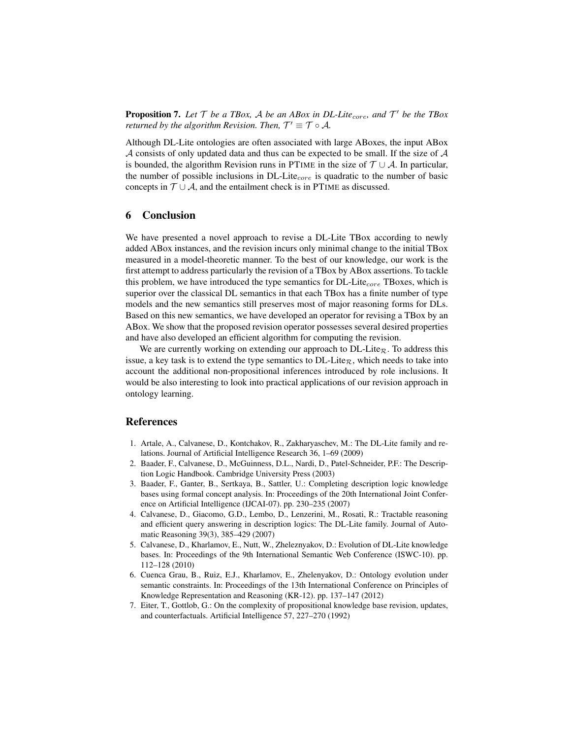**Proposition 7.** Let  $\mathcal{T}$  be a TBox,  $\mathcal{A}$  be an ABox in DL-Lite<sub>core</sub>, and  $\mathcal{T}'$  be the TBox *returned by the algorithm Revision. Then,*  $\mathcal{T}' \equiv \mathcal{T} \circ \mathcal{A}$ .

Although DL-Lite ontologies are often associated with large ABoxes, the input ABox  $A$  consists of only updated data and thus can be expected to be small. If the size of  $A$ is bounded, the algorithm Revision runs in PTIME in the size of  $\mathcal{T} \cup \mathcal{A}$ . In particular, the number of possible inclusions in  $DL\text{-}Life_{core}$  is quadratic to the number of basic concepts in  $T \cup A$ , and the entailment check is in PTIME as discussed.

# 6 Conclusion

We have presented a novel approach to revise a DL-Lite TBox according to newly added ABox instances, and the revision incurs only minimal change to the initial TBox measured in a model-theoretic manner. To the best of our knowledge, our work is the first attempt to address particularly the revision of a TBox by ABox assertions. To tackle this problem, we have introduced the type semantics for  $DL\text{-}Life_{core}$  TBoxes, which is superior over the classical DL semantics in that each TBox has a finite number of type models and the new semantics still preserves most of major reasoning forms for DLs. Based on this new semantics, we have developed an operator for revising a TBox by an ABox. We show that the proposed revision operator possesses several desired properties and have also developed an efficient algorithm for computing the revision.

We are currently working on extending our approach to  $DL\text{-}Lie_R$ . To address this issue, a key task is to extend the type semantics to  $DL\text{-}Lie_R$ , which needs to take into account the additional non-propositional inferences introduced by role inclusions. It would be also interesting to look into practical applications of our revision approach in ontology learning.

### References

- 1. Artale, A., Calvanese, D., Kontchakov, R., Zakharyaschev, M.: The DL-Lite family and relations. Journal of Artificial Intelligence Research 36, 1–69 (2009)
- 2. Baader, F., Calvanese, D., McGuinness, D.L., Nardi, D., Patel-Schneider, P.F.: The Description Logic Handbook. Cambridge University Press (2003)
- 3. Baader, F., Ganter, B., Sertkaya, B., Sattler, U.: Completing description logic knowledge bases using formal concept analysis. In: Proceedings of the 20th International Joint Conference on Artificial Intelligence (IJCAI-07). pp. 230–235 (2007)
- 4. Calvanese, D., Giacomo, G.D., Lembo, D., Lenzerini, M., Rosati, R.: Tractable reasoning and efficient query answering in description logics: The DL-Lite family. Journal of Automatic Reasoning 39(3), 385–429 (2007)
- 5. Calvanese, D., Kharlamov, E., Nutt, W., Zheleznyakov, D.: Evolution of DL-Lite knowledge bases. In: Proceedings of the 9th International Semantic Web Conference (ISWC-10). pp. 112–128 (2010)
- 6. Cuenca Grau, B., Ruiz, E.J., Kharlamov, E., Zhelenyakov, D.: Ontology evolution under semantic constraints. In: Proceedings of the 13th International Conference on Principles of Knowledge Representation and Reasoning (KR-12). pp. 137–147 (2012)
- 7. Eiter, T., Gottlob, G.: On the complexity of propositional knowledge base revision, updates, and counterfactuals. Artificial Intelligence 57, 227–270 (1992)